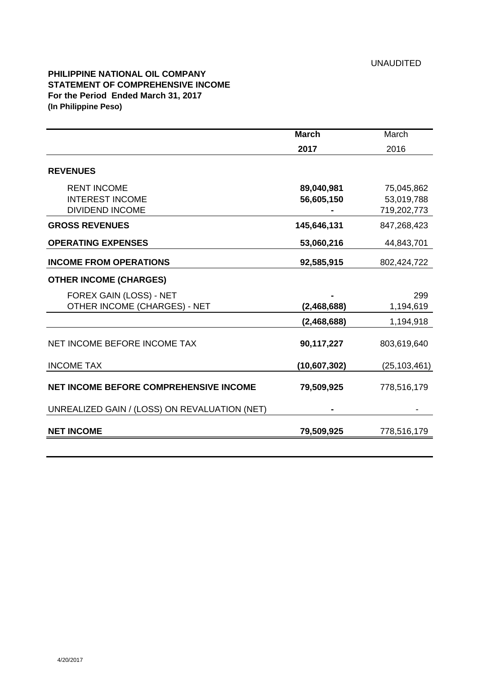## **PHILIPPINE NATIONAL OIL COMPANY STATEMENT OF COMPREHENSIVE INCOME For the Period Ended March 31, 2017 (In Philippine Peso)**

|                                               | <b>March</b><br>2017 | March<br>2016  |
|-----------------------------------------------|----------------------|----------------|
|                                               |                      |                |
| <b>REVENUES</b>                               |                      |                |
| <b>RENT INCOME</b>                            | 89,040,981           | 75,045,862     |
| <b>INTEREST INCOME</b>                        | 56,605,150           | 53,019,788     |
| <b>DIVIDEND INCOME</b>                        |                      | 719,202,773    |
| <b>GROSS REVENUES</b>                         | 145,646,131          | 847,268,423    |
| <b>OPERATING EXPENSES</b>                     | 53,060,216           | 44,843,701     |
| <b>INCOME FROM OPERATIONS</b>                 | 92,585,915           | 802,424,722    |
| <b>OTHER INCOME (CHARGES)</b>                 |                      |                |
| FOREX GAIN (LOSS) - NET                       |                      | 299            |
| OTHER INCOME (CHARGES) - NET                  | (2,468,688)          | 1,194,619      |
|                                               | (2,468,688)          | 1,194,918      |
| NET INCOME BEFORE INCOME TAX                  | 90,117,227           | 803,619,640    |
| <b>INCOME TAX</b>                             | (10,607,302)         | (25, 103, 461) |
| <b>NET INCOME BEFORE COMPREHENSIVE INCOME</b> | 79,509,925           | 778,516,179    |
| UNREALIZED GAIN / (LOSS) ON REVALUATION (NET) |                      |                |
| <b>NET INCOME</b>                             | 79,509,925           | 778,516,179    |
|                                               |                      |                |